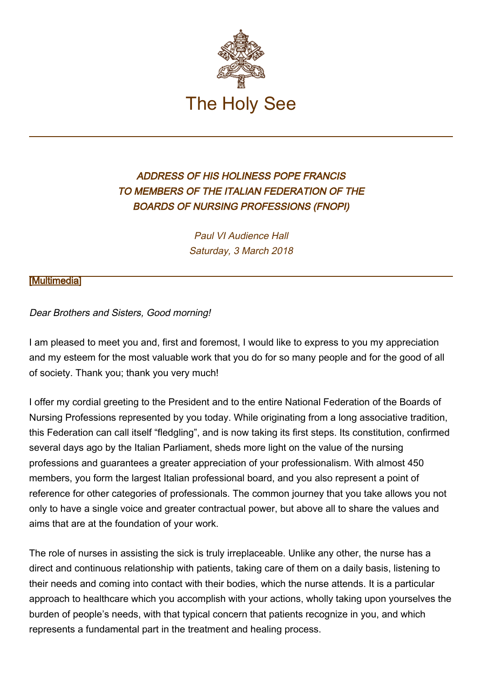

## ADDRESS OF HIS HOLINESS POPE FRANCIS TO MEMBERS OF THE ITALIAN FEDERATION OF THE BOARDS OF NURSING PROFESSIONS (FNOPI)

Paul VI Audience Hall Saturday, 3 March 2018

## **[\[Multimedia](http://w2.vatican.va/content/francesco/en/events/event.dir.html/content/vaticanevents/en/2018/3/3/ipasvi.html)]**

## Dear Brothers and Sisters, Good morning!

I am pleased to meet you and, first and foremost, I would like to express to you my appreciation and my esteem for the most valuable work that you do for so many people and for the good of all of society. Thank you; thank you very much!

I offer my cordial greeting to the President and to the entire National Federation of the Boards of Nursing Professions represented by you today. While originating from a long associative tradition, this Federation can call itself "fledgling", and is now taking its first steps. Its constitution, confirmed several days ago by the Italian Parliament, sheds more light on the value of the nursing professions and guarantees a greater appreciation of your professionalism. With almost 450 members, you form the largest Italian professional board, and you also represent a point of reference for other categories of professionals. The common journey that you take allows you not only to have a single voice and greater contractual power, but above all to share the values and aims that are at the foundation of your work.

The role of nurses in assisting the sick is truly irreplaceable. Unlike any other, the nurse has a direct and continuous relationship with patients, taking care of them on a daily basis, listening to their needs and coming into contact with their bodies, which the nurse attends. It is a particular approach to healthcare which you accomplish with your actions, wholly taking upon yourselves the burden of people's needs, with that typical concern that patients recognize in you, and which represents a fundamental part in the treatment and healing process.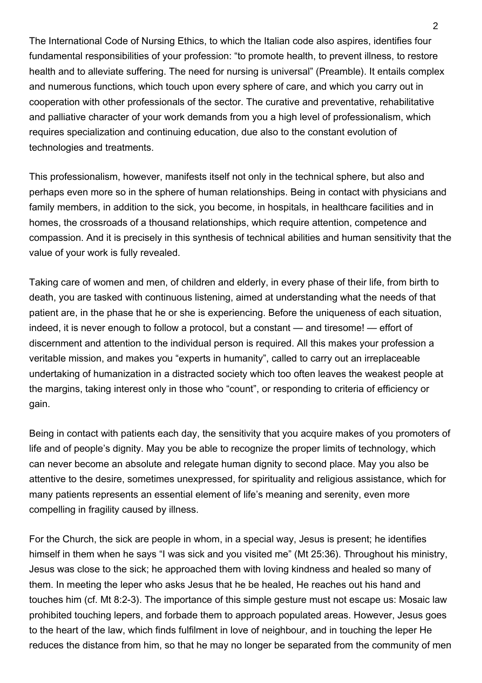The International Code of Nursing Ethics, to which the Italian code also aspires, identifies four fundamental responsibilities of your profession: "to promote health, to prevent illness, to restore health and to alleviate suffering. The need for nursing is universal" (Preamble). It entails complex and numerous functions, which touch upon every sphere of care, and which you carry out in cooperation with other professionals of the sector. The curative and preventative, rehabilitative and palliative character of your work demands from you a high level of professionalism, which requires specialization and continuing education, due also to the constant evolution of technologies and treatments.

This professionalism, however, manifests itself not only in the technical sphere, but also and perhaps even more so in the sphere of human relationships. Being in contact with physicians and family members, in addition to the sick, you become, in hospitals, in healthcare facilities and in homes, the crossroads of a thousand relationships, which require attention, competence and compassion. And it is precisely in this synthesis of technical abilities and human sensitivity that the value of your work is fully revealed.

Taking care of women and men, of children and elderly, in every phase of their life, from birth to death, you are tasked with continuous listening, aimed at understanding what the needs of that patient are, in the phase that he or she is experiencing. Before the uniqueness of each situation, indeed, it is never enough to follow a protocol, but a constant — and tiresome! — effort of discernment and attention to the individual person is required. All this makes your profession a veritable mission, and makes you "experts in humanity", called to carry out an irreplaceable undertaking of humanization in a distracted society which too often leaves the weakest people at the margins, taking interest only in those who "count", or responding to criteria of efficiency or gain.

Being in contact with patients each day, the sensitivity that you acquire makes of you promoters of life and of people's dignity. May you be able to recognize the proper limits of technology, which can never become an absolute and relegate human dignity to second place. May you also be attentive to the desire, sometimes unexpressed, for spirituality and religious assistance, which for many patients represents an essential element of life's meaning and serenity, even more compelling in fragility caused by illness.

For the Church, the sick are people in whom, in a special way, Jesus is present; he identifies himself in them when he says "I was sick and you visited me" (Mt 25:36). Throughout his ministry, Jesus was close to the sick; he approached them with loving kindness and healed so many of them. In meeting the leper who asks Jesus that he be healed, He reaches out his hand and touches him (cf. Mt 8:2-3). The importance of this simple gesture must not escape us: Mosaic law prohibited touching lepers, and forbade them to approach populated areas. However, Jesus goes to the heart of the law, which finds fulfilment in love of neighbour, and in touching the leper He reduces the distance from him, so that he may no longer be separated from the community of men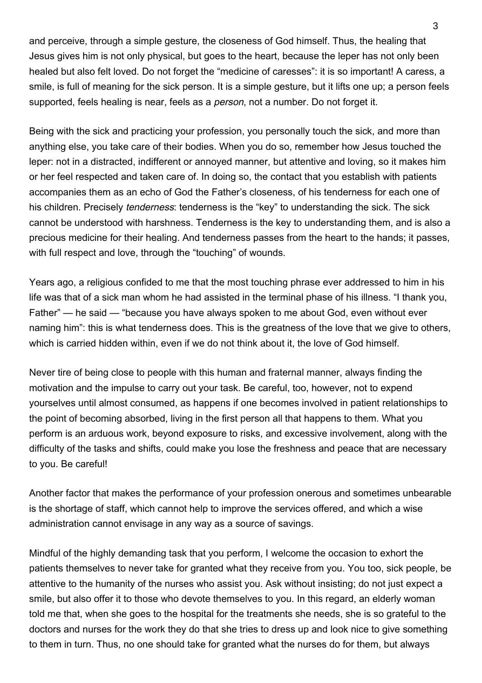and perceive, through a simple gesture, the closeness of God himself. Thus, the healing that Jesus gives him is not only physical, but goes to the heart, because the leper has not only been healed but also felt loved. Do not forget the "medicine of caresses": it is so important! A caress, a smile, is full of meaning for the sick person. It is a simple gesture, but it lifts one up; a person feels supported, feels healing is near, feels as a *person*, not a number. Do not forget it.

Being with the sick and practicing your profession, you personally touch the sick, and more than anything else, you take care of their bodies. When you do so, remember how Jesus touched the leper: not in a distracted, indifferent or annoyed manner, but attentive and loving, so it makes him or her feel respected and taken care of. In doing so, the contact that you establish with patients accompanies them as an echo of God the Father's closeness, of his tenderness for each one of his children. Precisely *tenderness*: tenderness is the "key" to understanding the sick. The sick cannot be understood with harshness. Tenderness is the key to understanding them, and is also a precious medicine for their healing. And tenderness passes from the heart to the hands; it passes, with full respect and love, through the "touching" of wounds.

Years ago, a religious confided to me that the most touching phrase ever addressed to him in his life was that of a sick man whom he had assisted in the terminal phase of his illness. "I thank you, Father" — he said — "because you have always spoken to me about God, even without ever naming him": this is what tenderness does. This is the greatness of the love that we give to others, which is carried hidden within, even if we do not think about it, the love of God himself.

Never tire of being close to people with this human and fraternal manner, always finding the motivation and the impulse to carry out your task. Be careful, too, however, not to expend yourselves until almost consumed, as happens if one becomes involved in patient relationships to the point of becoming absorbed, living in the first person all that happens to them. What you perform is an arduous work, beyond exposure to risks, and excessive involvement, along with the difficulty of the tasks and shifts, could make you lose the freshness and peace that are necessary to you. Be careful!

Another factor that makes the performance of your profession onerous and sometimes unbearable is the shortage of staff, which cannot help to improve the services offered, and which a wise administration cannot envisage in any way as a source of savings.

Mindful of the highly demanding task that you perform, I welcome the occasion to exhort the patients themselves to never take for granted what they receive from you. You too, sick people, be attentive to the humanity of the nurses who assist you. Ask without insisting; do not just expect a smile, but also offer it to those who devote themselves to you. In this regard, an elderly woman told me that, when she goes to the hospital for the treatments she needs, she is so grateful to the doctors and nurses for the work they do that she tries to dress up and look nice to give something to them in turn. Thus, no one should take for granted what the nurses do for them, but always